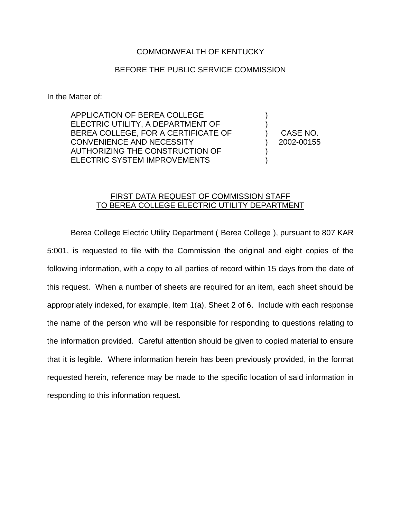## COMMONWEALTH OF KENTUCKY

## BEFORE THE PUBLIC SERVICE COMMISSION

In the Matter of:

APPLICATION OF BEREA COLLEGE ELECTRIC UTILITY, A DEPARTMENT OF BEREA COLLEGE, FOR A CERTIFICATE OF CONVENIENCE AND NECESSITY AUTHORIZING THE CONSTRUCTION OF ELECTRIC SYSTEM IMPROVEMENTS

) CASE NO. ) 2002-00155

) )

) )

## FIRST DATA REQUEST OF COMMISSION STAFF TO BEREA COLLEGE ELECTRIC UTILITY DEPARTMENT

Berea College Electric Utility Department ( Berea College ), pursuant to 807 KAR 5:001, is requested to file with the Commission the original and eight copies of the following information, with a copy to all parties of record within 15 days from the date of this request. When a number of sheets are required for an item, each sheet should be appropriately indexed, for example, Item 1(a), Sheet 2 of 6. Include with each response the name of the person who will be responsible for responding to questions relating to the information provided. Careful attention should be given to copied material to ensure that it is legible. Where information herein has been previously provided, in the format requested herein, reference may be made to the specific location of said information in responding to this information request.